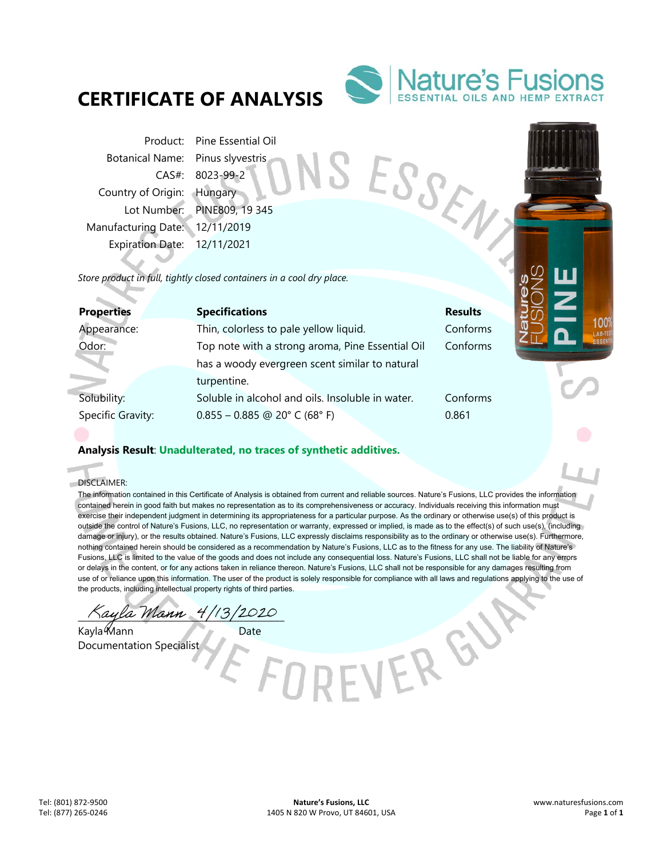## **CERTIFICATE OF ANALYSIS**



SESSEN

VERGY

Product: Pine Essential Oil Botanical Name: Pinus slyvestris CAS#: 8023-99-2 Country of Origin: Hungary Lot Number: PINE809, 19 345 Manufacturing Date: 12/11/2019 Expiration Date: 12/11/2021

*Store product in full, tightly closed containers in a cool dry place.* 

| <b>Properties</b> | <b>Specifications</b>                            | <b>Results</b> |  |
|-------------------|--------------------------------------------------|----------------|--|
| Appearance:       | Thin, colorless to pale yellow liquid.           | Conforms       |  |
| Odor:             | Top note with a strong aroma, Pine Essential Oil | Conforms       |  |
|                   | has a woody evergreen scent similar to natural   |                |  |
|                   | turpentine.                                      |                |  |
| Solubility:       | Soluble in alcohol and oils. Insoluble in water. | Conforms       |  |
| Specific Gravity: | $0.855 - 0.885$ @ 20° C (68° F)                  | 0.861          |  |
|                   |                                                  |                |  |

## **Analysis Result**: **Unadulterated, no traces of synthetic additives.**

DISCLAIMER:

i.

The information contained in this Certificate of Analysis is obtained from current and reliable sources. Nature's Fusions, LLC provides the information contained herein in good faith but makes no representation as to its comprehensiveness or accuracy. Individuals receiving this information must exercise their independent judgment in determining its appropriateness for a particular purpose. As the ordinary or otherwise use(s) of this product is outside the control of Nature's Fusions, LLC, no representation or warranty, expressed or implied, is made as to the effect(s) of such use(s), (including damage or injury), or the results obtained. Nature's Fusions, LLC expressly disclaims responsibility as to the ordinary or otherwise use(s). Furthermore, nothing contained herein should be considered as a recommendation by Nature's Fusions, LLC as to the fitness for any use. The liability of Nature's Fusions, LLC is limited to the value of the goods and does not include any consequential loss. Nature's Fusions, LLC shall not be liable for any errors or delays in the content, or for any actions taken in reliance thereon. Nature's Fusions, LLC shall not be responsible for any damages resulting from use of or reliance upon this information. The user of the product is solely responsible for compliance with all laws and regulations applying to the use of the products, including intellectual property rights of third parties.

\_\_\_\_\_\_\_\_\_\_\_\_\_\_\_\_\_\_\_\_\_\_\_\_\_\_\_\_\_\_\_\_\_\_\_\_\_\_\_\_\_\_\_\_\_\_

Kayla Mann Date Documentation Specialist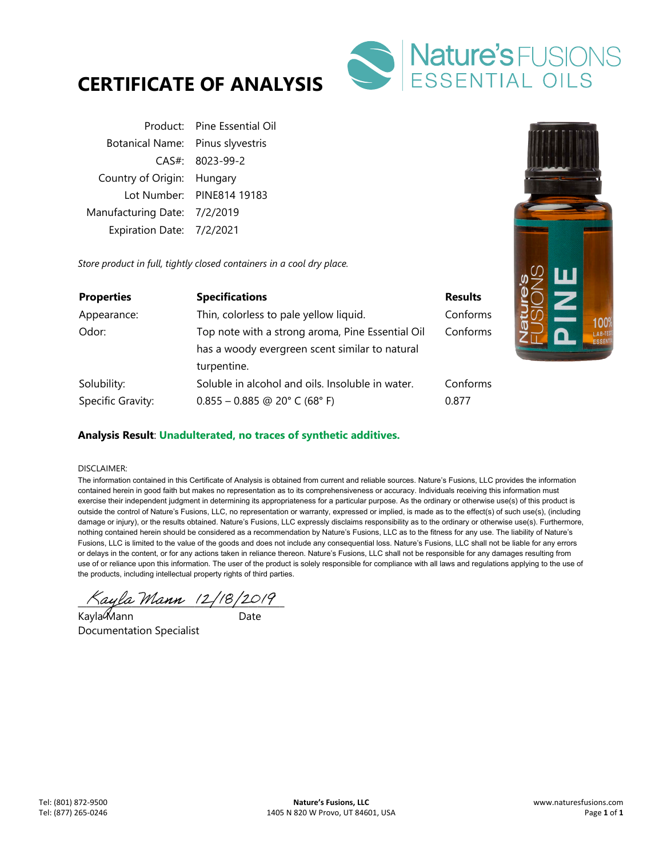



|                                  | Product: Pine Essential Oil |
|----------------------------------|-----------------------------|
| Botanical Name: Pinus slyvestris |                             |
|                                  | $CAS#$ : 8023-99-2          |
| Country of Origin: Hungary       |                             |
|                                  | Lot Number: PINE814 19183   |
| Manufacturing Date: 7/2/2019     |                             |
| Expiration Date: 7/2/2021        |                             |

*Store product in full, tightly closed containers in a cool dry place.* 

| <b>Properties</b> | <b>Specifications</b>                            | <b>Results</b> |
|-------------------|--------------------------------------------------|----------------|
| Appearance:       | Thin, colorless to pale yellow liquid.           | Conforms       |
| Odor:             | Top note with a strong aroma, Pine Essential Oil | Conforms       |
|                   | has a woody evergreen scent similar to natural   |                |
|                   | turpentine.                                      |                |
| Solubility:       | Soluble in alcohol and oils. Insoluble in water. | Conforms       |
| Specific Gravity: | $0.855 - 0.885$ @ 20° C (68° F)                  | 0.877          |

### **Analysis Result**: **Unadulterated, no traces of synthetic additives.**

#### DISCLAIMER:

The information contained in this Certificate of Analysis is obtained from current and reliable sources. Nature's Fusions, LLC provides the information contained herein in good faith but makes no representation as to its comprehensiveness or accuracy. Individuals receiving this information must exercise their independent judgment in determining its appropriateness for a particular purpose. As the ordinary or otherwise use(s) of this product is outside the control of Nature's Fusions, LLC, no representation or warranty, expressed or implied, is made as to the effect(s) of such use(s), (including damage or injury), or the results obtained. Nature's Fusions, LLC expressly disclaims responsibility as to the ordinary or otherwise use(s). Furthermore, nothing contained herein should be considered as a recommendation by Nature's Fusions, LLC as to the fitness for any use. The liability of Nature's Fusions, LLC is limited to the value of the goods and does not include any consequential loss. Nature's Fusions, LLC shall not be liable for any errors or delays in the content, or for any actions taken in reliance thereon. Nature's Fusions, LLC shall not be responsible for any damages resulting from use of or reliance upon this information. The user of the product is solely responsible for compliance with all laws and regulations applying to the use of the products, including intellectual property rights of third parties.

 $\land$ ayla Mann 12/18/2019

Kayla Mann ann an Date Documentation Specialist